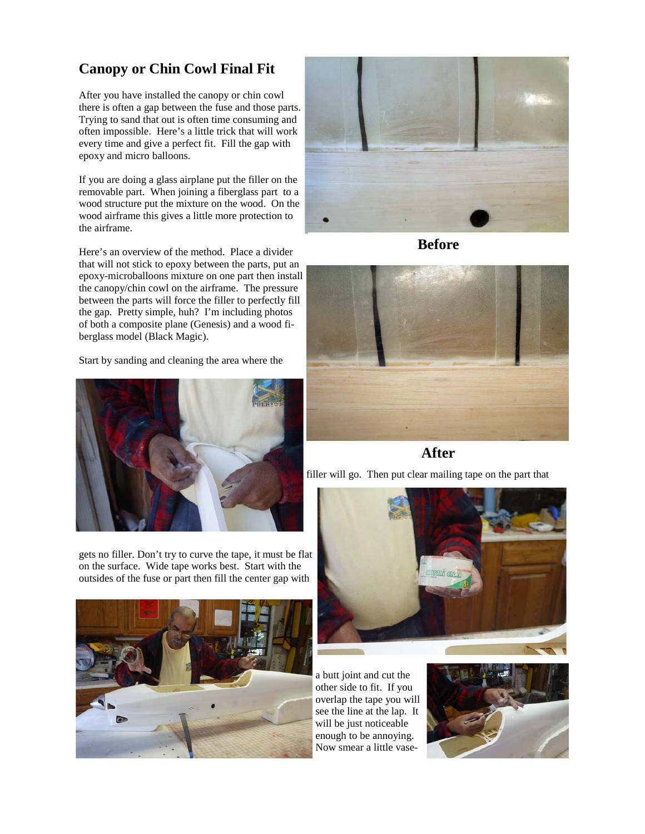## **Canopy or Chin Cowl Final Fit**

After you have installed the canopy or chin cowl there is often a gap between the fuse and those parts. Trying to sand that out is often time consuming and often impossible. Here's a little trick that will work every time and give a perfect fit. Fill the gap with epoxy and micro balloons.

If you are doing a glass airplane put the filler on the removable part. When joining a fiberglass part to a wood structure put the mixture on the wood. On the wood airframe this gives a little more protection to the airframe.

Here's an overview of the method. Place a divider that will not stick to epoxy between the parts, put an epoxy-microballoons mixture on one part then install the canopy/chin cowl on the airframe. The pressure between the parts will force the filler to perfectly fill the gap. Pretty simple, huh? I'm including photos of both a composite plane (Genesis) and a wood fiberglass model (Black Magic).

Start by sanding and cleaning the area where the



gets no filler. Don't try to curve the tape, it must be flat on the surface. Wide tape works best. Start with the outsides of the fuse or part then fill the center gap with





**Before** 



## **After**

filler will go. Then put clear mailing tape on the part that



a butt joint and cut the other side to fit. If you overlap the tape you will see the line at the lap. It will be just noticeable enough to be annoying. Now smear a little vase-